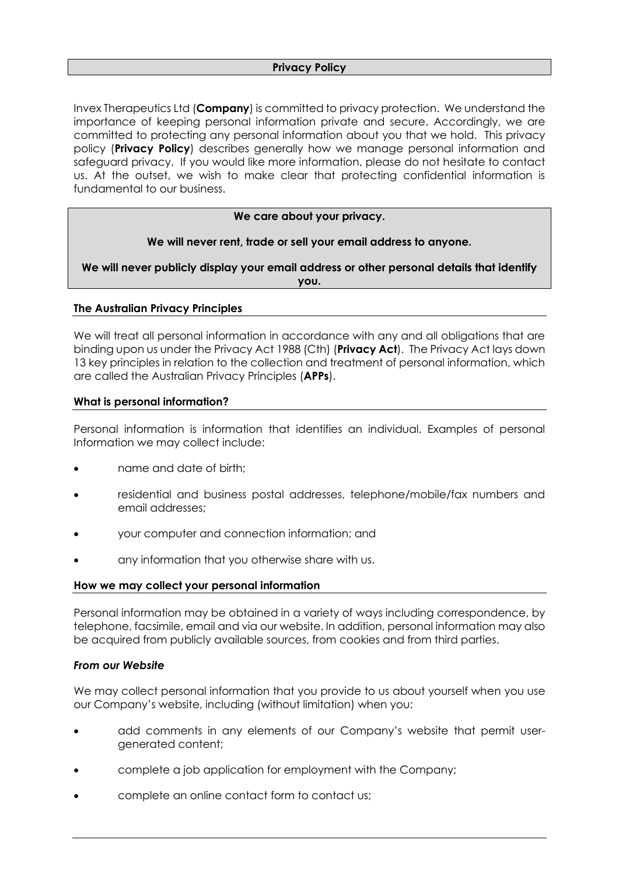Invex Therapeutics Ltd (**Company**) is committed to privacy protection. We understand the importance of keeping personal information private and secure. Accordingly, we are committed to protecting any personal information about you that we hold. This privacy policy (**Privacy Policy**) describes generally how we manage personal information and safeguard privacy. If you would like more information, please do not hesitate to contact us. At the outset, we wish to make clear that protecting confidential information is fundamental to our business.

### **We care about your privacy.**

## **We will never rent, trade or sell your email address to anyone.**

**We will never publicly display your email address or other personal details that identify you.**

## **The Australian Privacy Principles**

We will treat all personal information in accordance with any and all obligations that are binding upon us under the Privacy Act 1988 (Cth) (**Privacy Act**). The Privacy Act lays down 13 key principles in relation to the collection and treatment of personal information, which are called the Australian Privacy Principles (**APPs**).

### **What is personal information?**

Personal information is information that identifies an individual. Examples of personal Information we may collect include:

- name and date of birth;
- residential and business postal addresses, telephone/mobile/fax numbers and email addresses;
- your computer and connection information; and
- any information that you otherwise share with us.

#### **How we may collect your personal information**

Personal information may be obtained in a variety of ways including correspondence, by telephone, facsimile, email and via our website. In addition, personal information may also be acquired from publicly available sources, from cookies and from third parties.

#### *From our Website*

We may collect personal information that you provide to us about yourself when you use our Company's website, including (without limitation) when you:

- add comments in any elements of our Company's website that permit usergenerated content;
- complete a job application for employment with the Company;
- complete an online contact form to contact us;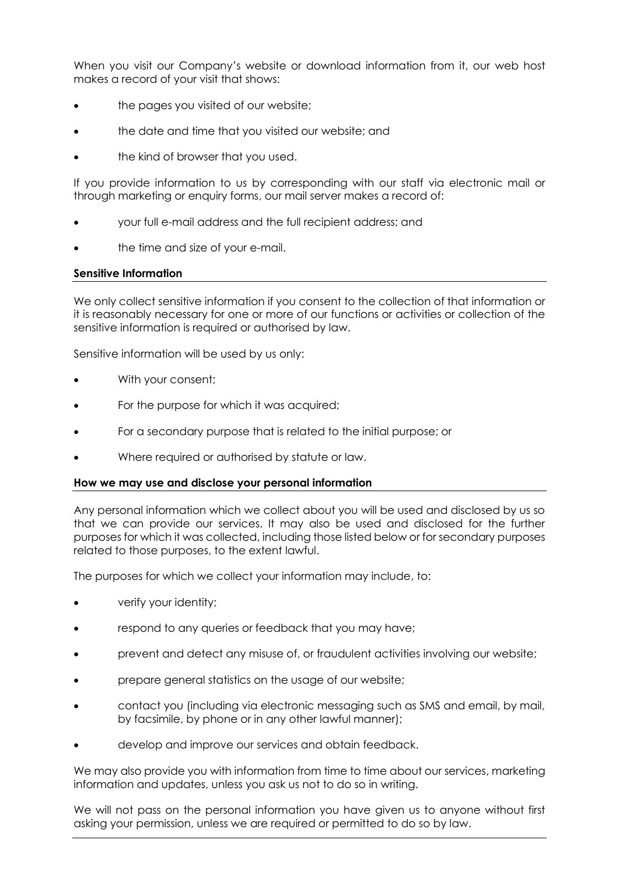When you visit our Company's website or download information from it, our web host makes a record of your visit that shows:

- the pages you visited of our website;
- the date and time that you visited our website; and
- the kind of browser that you used.

If you provide information to us by corresponding with our staff via electronic mail or through marketing or enquiry forms, our mail server makes a record of:

- your full e-mail address and the full recipient address; and
- the time and size of your e-mail.

### **Sensitive Information**

We only collect sensitive information if you consent to the collection of that information or it is reasonably necessary for one or more of our functions or activities or collection of the sensitive information is required or authorised by law.

Sensitive information will be used by us only:

- With your consent;
- For the purpose for which it was acquired;
- For a secondary purpose that is related to the initial purpose; or
- Where required or authorised by statute or law.

#### **How we may use and disclose your personal information**

Any personal information which we collect about you will be used and disclosed by us so that we can provide our services. It may also be used and disclosed for the further purposes for which it was collected, including those listed below or for secondary purposes related to those purposes, to the extent lawful.

The purposes for which we collect your information may include, to:

- verify your identity;
- respond to any queries or feedback that you may have;
- prevent and detect any misuse of, or fraudulent activities involving our website;
- prepare general statistics on the usage of our website;
- contact you (including via electronic messaging such as SMS and email, by mail, by facsimile, by phone or in any other lawful manner);
- develop and improve our services and obtain feedback.

We may also provide you with information from time to time about our services, marketing information and updates, unless you ask us not to do so in writing.

We will not pass on the personal information you have given us to anyone without first asking your permission, unless we are required or permitted to do so by law.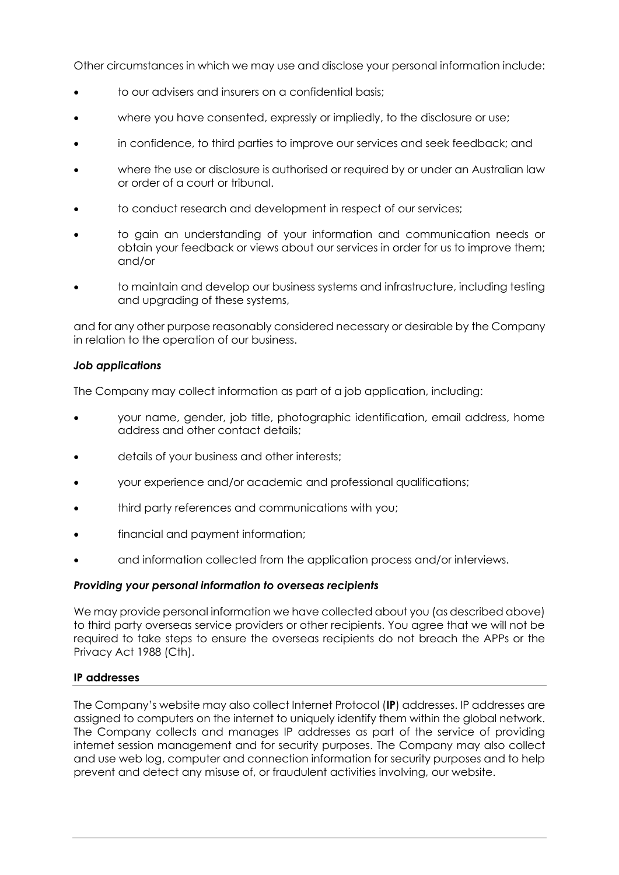Other circumstances in which we may use and disclose your personal information include:

- to our advisers and insurers on a confidential basis;
- where you have consented, expressly or impliedly, to the disclosure or use;
- in confidence, to third parties to improve our services and seek feedback; and
- where the use or disclosure is authorised or required by or under an Australian law or order of a court or tribunal.
- to conduct research and development in respect of our services;
- to gain an understanding of your information and communication needs or obtain your feedback or views about our services in order for us to improve them; and/or
- to maintain and develop our business systems and infrastructure, including testing and upgrading of these systems,

and for any other purpose reasonably considered necessary or desirable by the Company in relation to the operation of our business.

## *Job applications*

The Company may collect information as part of a job application, including:

- your name, gender, job title, photographic identification, email address, home address and other contact details;
- details of your business and other interests;
- your experience and/or academic and professional qualifications;
- third party references and communications with you;
- financial and payment information;
- and information collected from the application process and/or interviews.

## *Providing your personal information to overseas recipients*

We may provide personal information we have collected about you (as described above) to third party overseas service providers or other recipients. You agree that we will not be required to take steps to ensure the overseas recipients do not breach the APPs or the Privacy Act 1988 (Cth).

## **IP addresses**

The Company's website may also collect Internet Protocol (**IP**) addresses. IP addresses are assigned to computers on the internet to uniquely identify them within the global network. The Company collects and manages IP addresses as part of the service of providing internet session management and for security purposes. The Company may also collect and use web log, computer and connection information for security purposes and to help prevent and detect any misuse of, or fraudulent activities involving, our website.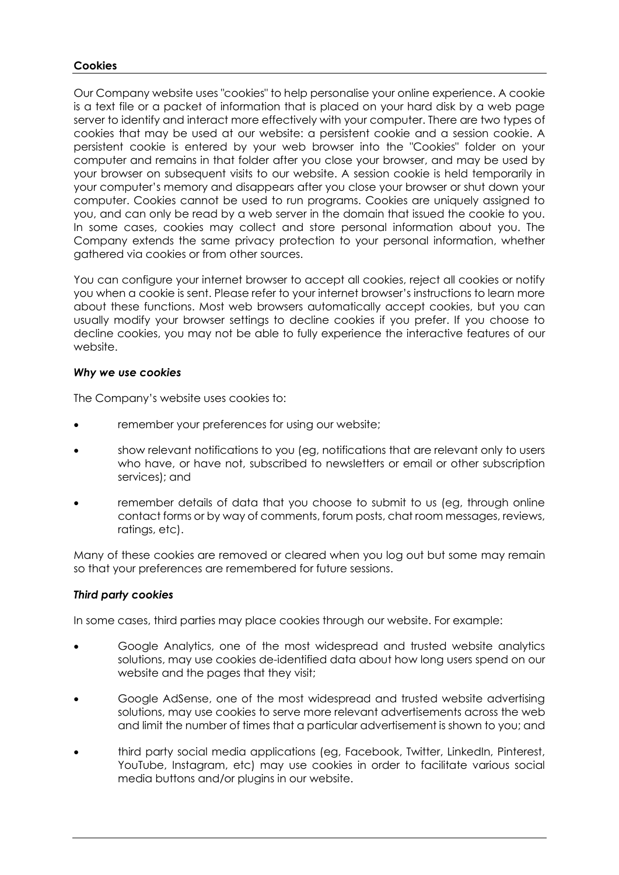# **Cookies**

Our Company website uses "cookies" to help personalise your online experience. A cookie is a text file or a packet of information that is placed on your hard disk by a web page server to identify and interact more effectively with your computer. There are two types of cookies that may be used at our website: a persistent cookie and a session cookie. A persistent cookie is entered by your web browser into the "Cookies" folder on your computer and remains in that folder after you close your browser, and may be used by your browser on subsequent visits to our website. A session cookie is held temporarily in your computer's memory and disappears after you close your browser or shut down your computer. Cookies cannot be used to run programs. Cookies are uniquely assigned to you, and can only be read by a web server in the domain that issued the cookie to you. In some cases, cookies may collect and store personal information about you. The Company extends the same privacy protection to your personal information, whether gathered via cookies or from other sources.

You can configure your internet browser to accept all cookies, reject all cookies or notify you when a cookie is sent. Please refer to your internet browser's instructions to learn more about these functions. Most web browsers automatically accept cookies, but you can usually modify your browser settings to decline cookies if you prefer. If you choose to decline cookies, you may not be able to fully experience the interactive features of our website.

## *Why we use cookies*

The Company's website uses cookies to:

- remember your preferences for using our website;
- show relevant notifications to you (eg, notifications that are relevant only to users who have, or have not, subscribed to newsletters or email or other subscription services); and
- remember details of data that you choose to submit to us (eg, through online contact forms or by way of comments, forum posts, chat room messages, reviews, ratings, etc).

Many of these cookies are removed or cleared when you log out but some may remain so that your preferences are remembered for future sessions.

## *Third party cookies*

In some cases, third parties may place cookies through our website. For example:

- Google Analytics, one of the most widespread and trusted website analytics solutions, may use cookies de-identified data about how long users spend on our website and the pages that they visit;
- Google AdSense, one of the most widespread and trusted website advertising solutions, may use cookies to serve more relevant advertisements across the web and limit the number of times that a particular advertisement is shown to you; and
- third party social media applications (eg, Facebook, Twitter, LinkedIn, Pinterest, YouTube, Instagram, etc) may use cookies in order to facilitate various social media buttons and/or plugins in our website.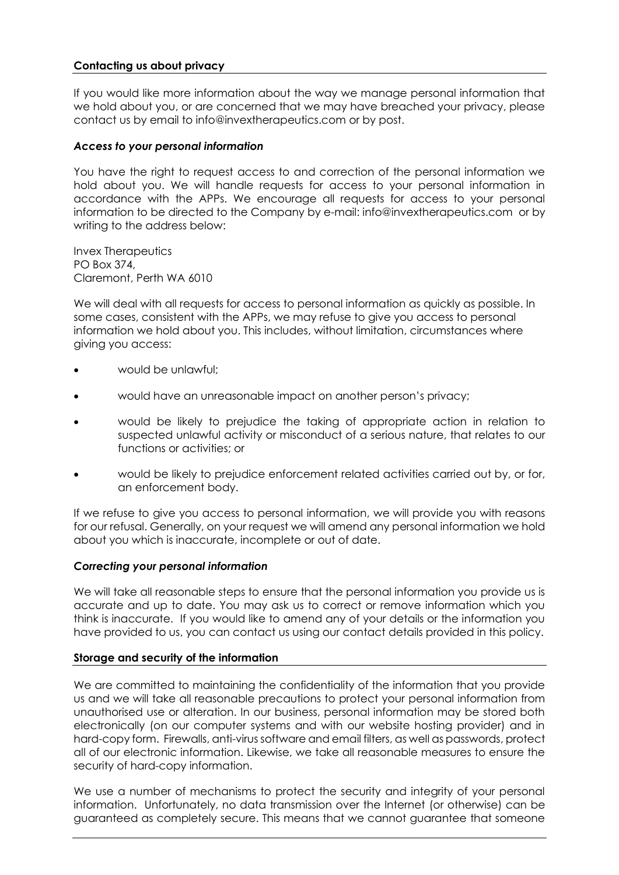# **Contacting us about privacy**

If you would like more information about the way we manage personal information that we hold about you, or are concerned that we may have breached your privacy, please contact us by email to [info@invextherapeutics.com](mailto:info@invextherapeutics.com) or by post.

## *Access to your personal information*

You have the right to request access to and correction of the personal information we hold about you. We will handle requests for access to your personal information in accordance with the APPs. We encourage all requests for access to your personal information to be directed to the Company by e-mail[: info@invextherapeutics.com](mailto:info@invextherapeutics.com) or by writing to the address below:

Invex Therapeutics PO Box 374, Claremont, Perth WA 6010

We will deal with all requests for access to personal information as quickly as possible. In some cases, consistent with the APPs, we may refuse to give you access to personal information we hold about you. This includes, without limitation, circumstances where giving you access:

- would be unlawful;
- would have an unreasonable impact on another person's privacy;
- would be likely to prejudice the taking of appropriate action in relation to suspected unlawful activity or misconduct of a serious nature, that relates to our functions or activities; or
- would be likely to prejudice enforcement related activities carried out by, or for, an enforcement body.

If we refuse to give you access to personal information, we will provide you with reasons for our refusal. Generally, on your request we will amend any personal information we hold about you which is inaccurate, incomplete or out of date.

## *Correcting your personal information*

We will take all reasonable steps to ensure that the personal information you provide us is accurate and up to date. You may ask us to correct or remove information which you think is inaccurate. If you would like to amend any of your details or the information you have provided to us, you can contact us using our contact details provided in this policy.

# **Storage and security of the information**

We are committed to maintaining the confidentiality of the information that you provide us and we will take all reasonable precautions to protect your personal information from unauthorised use or alteration. In our business, personal information may be stored both electronically (on our computer systems and with our website hosting provider) and in hard-copy form. Firewalls, anti-virus software and email filters, as well as passwords, protect all of our electronic information. Likewise, we take all reasonable measures to ensure the security of hard-copy information.

We use a number of mechanisms to protect the security and integrity of your personal information. Unfortunately, no data transmission over the Internet (or otherwise) can be guaranteed as completely secure. This means that we cannot guarantee that someone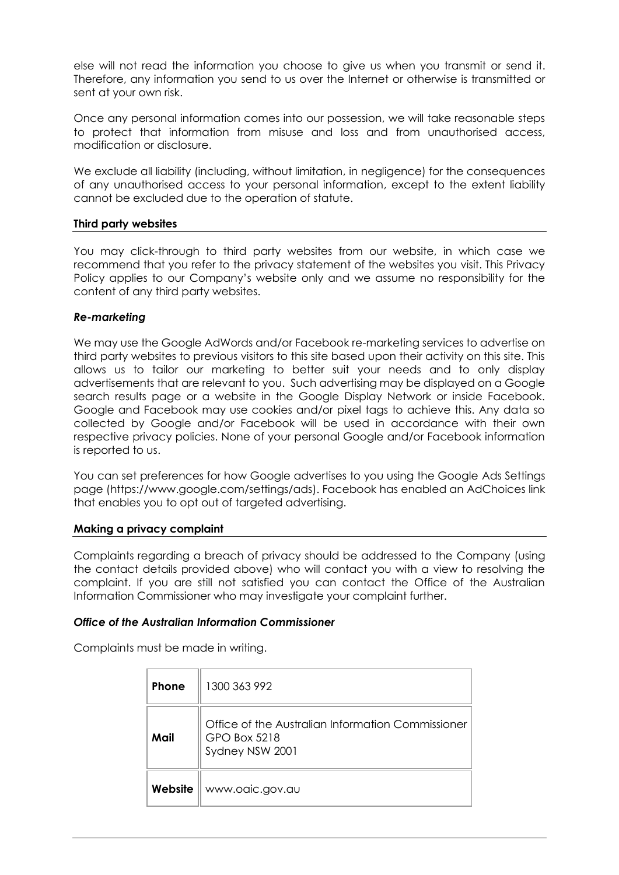else will not read the information you choose to give us when you transmit or send it. Therefore, any information you send to us over the Internet or otherwise is transmitted or sent at your own risk.

Once any personal information comes into our possession, we will take reasonable steps to protect that information from misuse and loss and from unauthorised access, modification or disclosure.

We exclude all liability (including, without limitation, in negligence) for the consequences of any unauthorised access to your personal information, except to the extent liability cannot be excluded due to the operation of statute.

### **Third party websites**

You may click-through to third party websites from our website, in which case we recommend that you refer to the privacy statement of the websites you visit. This Privacy Policy applies to our Company's website only and we assume no responsibility for the content of any third party websites.

### *Re-marketing*

We may use the Google AdWords and/or Facebook re-marketing services to advertise on third party websites to previous visitors to this site based upon their activity on this site. This allows us to tailor our marketing to better suit your needs and to only display advertisements that are relevant to you. Such advertising may be displayed on a Google search results page or a website in the Google Display Network or inside Facebook. Google and Facebook may use cookies and/or pixel tags to achieve this. Any data so collected by Google and/or Facebook will be used in accordance with their own respective privacy policies. None of your personal Google and/or Facebook information is reported to us.

You can set preferences for how Google advertises to you using the Google Ads Settings page (https://www.google.com/settings/ads). Facebook has enabled an AdChoices link that enables you to opt out of targeted advertising.

#### **Making a privacy complaint**

Complaints regarding a breach of privacy should be addressed to the Company (using the contact details provided above) who will contact you with a view to resolving the complaint. If you are still not satisfied you can contact the Office of the Australian Information Commissioner who may investigate your complaint further.

#### *Office of the Australian Information Commissioner*

Complaints must be made in writing.

| Phone   | 1300 363 992                                                                         |
|---------|--------------------------------------------------------------------------------------|
| Mail    | Office of the Australian Information Commissioner<br>GPO Box 5218<br>Sydney NSW 2001 |
| Website | www.oaic.gov.au                                                                      |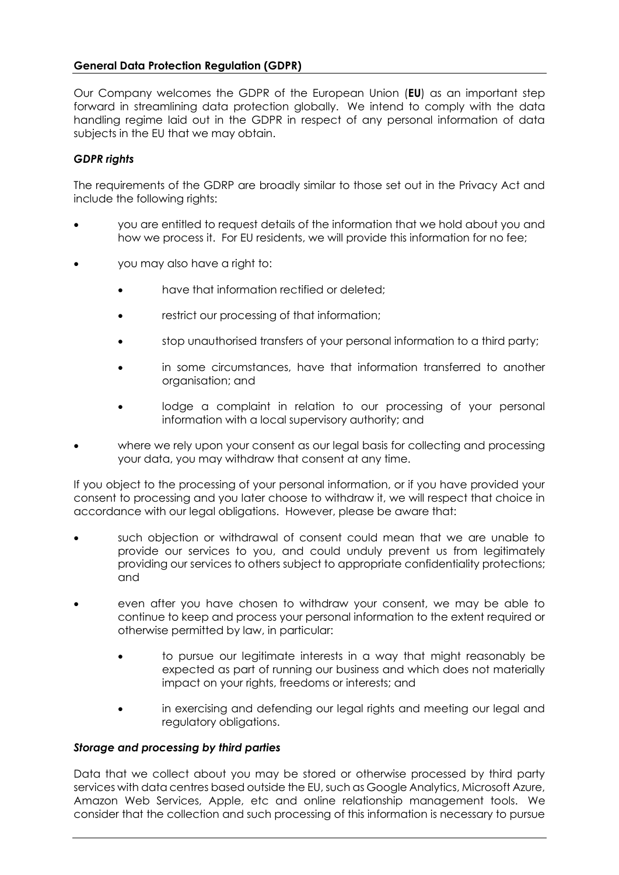# **General Data Protection Regulation (GDPR)**

Our Company welcomes the GDPR of the European Union (**EU**) as an important step forward in streamlining data protection globally. We intend to comply with the data handling regime laid out in the GDPR in respect of any personal information of data subjects in the EU that we may obtain.

### *GDPR rights*

The requirements of the GDRP are broadly similar to those set out in the Privacy Act and include the following rights:

- you are entitled to request details of the information that we hold about you and how we process it. For EU residents, we will provide this information for no fee;
- you may also have a right to:
	- have that information rectified or deleted;
	- restrict our processing of that information;
	- stop unauthorised transfers of your personal information to a third party;
	- in some circumstances, have that information transferred to another organisation; and
	- lodge a complaint in relation to our processing of your personal information with a local supervisory authority; and
- where we rely upon your consent as our legal basis for collecting and processing your data, you may withdraw that consent at any time.

If you object to the processing of your personal information, or if you have provided your consent to processing and you later choose to withdraw it, we will respect that choice in accordance with our legal obligations. However, please be aware that:

- such objection or withdrawal of consent could mean that we are unable to provide our services to you, and could unduly prevent us from legitimately providing our services to others subject to appropriate confidentiality protections; and
- even after you have chosen to withdraw your consent, we may be able to continue to keep and process your personal information to the extent required or otherwise permitted by law, in particular:
	- to pursue our legitimate interests in a way that might reasonably be expected as part of running our business and which does not materially impact on your rights, freedoms or interests; and
	- in exercising and defending our legal rights and meeting our legal and regulatory obligations.

#### *Storage and processing by third parties*

Data that we collect about you may be stored or otherwise processed by third party services with data centres based outside the EU, such as Google Analytics, Microsoft Azure, Amazon Web Services, Apple, etc and online relationship management tools. We consider that the collection and such processing of this information is necessary to pursue